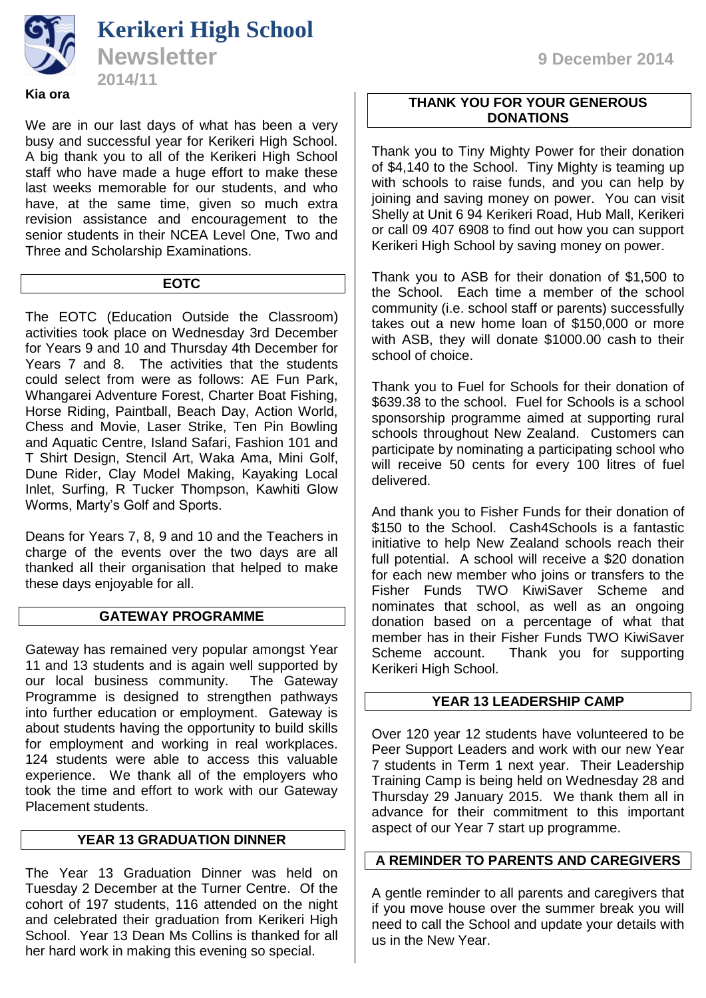

We are in our last days of what has been a very busy and successful year for Kerikeri High School. A big thank you to all of the Kerikeri High School staff who have made a huge effort to make these last weeks memorable for our students, and who have, at the same time, given so much extra revision assistance and encouragement to the senior students in their NCEA Level One, Two and Three and Scholarship Examinations.

## **EOTC**

The EOTC (Education Outside the Classroom) activities took place on Wednesday 3rd December for Years 9 and 10 and Thursday 4th December for Years 7 and 8. The activities that the students could select from were as follows: AE Fun Park, Whangarei Adventure Forest, Charter Boat Fishing, Horse Riding, Paintball, Beach Day, Action World, Chess and Movie, Laser Strike, Ten Pin Bowling and Aquatic Centre, Island Safari, Fashion 101 and T Shirt Design, Stencil Art, Waka Ama, Mini Golf, Dune Rider, Clay Model Making, Kayaking Local Inlet, Surfing, R Tucker Thompson, Kawhiti Glow Worms, Marty's Golf and Sports.

Deans for Years 7, 8, 9 and 10 and the Teachers in charge of the events over the two days are all thanked all their organisation that helped to make these days enjoyable for all.

# **GATEWAY PROGRAMME**

Gateway has remained very popular amongst Year 11 and 13 students and is again well supported by our local business community. The Gateway Programme is designed to strengthen pathways into further education or employment. Gateway is about students having the opportunity to build skills for employment and working in real workplaces. 124 students were able to access this valuable experience. We thank all of the employers who took the time and effort to work with our Gateway Placement students.

## **YEAR 13 GRADUATION DINNER**

The Year 13 Graduation Dinner was held on Tuesday 2 December at the Turner Centre. Of the cohort of 197 students, 116 attended on the night and celebrated their graduation from Kerikeri High School. Year 13 Dean Ms Collins is thanked for all her hard work in making this evening so special.

## **THANK YOU FOR YOUR GENEROUS DONATIONS**

Thank you to Tiny Mighty Power for their donation of \$4,140 to the School. Tiny Mighty is teaming up with schools to raise funds, and you can help by joining and saving money on power. You can visit Shelly at Unit 6 94 Kerikeri Road, Hub Mall, Kerikeri or call 09 407 6908 to find out how you can support Kerikeri High School by saving money on power.

Thank you to ASB for their donation of \$1,500 to the School. Each time a member of the school community (i.e. school staff or parents) successfully takes out a new home loan of \$150,000 or more with ASB, they will donate \$1000.00 cash to their school of choice.

Thank you to Fuel for Schools for their donation of \$639.38 to the school. Fuel for Schools is a school sponsorship programme aimed at supporting rural schools throughout New Zealand. Customers can participate by nominating a participating school who will receive 50 cents for every 100 litres of fuel delivered.

And thank you to Fisher Funds for their donation of \$150 to the School. Cash4Schools is a fantastic initiative to help New Zealand schools reach their full potential. A school will receive a \$20 donation for each new member who joins or transfers to the Fisher Funds TWO KiwiSaver Scheme and nominates that school, as well as an ongoing donation based on a percentage of what that member has in their Fisher Funds TWO KiwiSaver Scheme account. Thank you for supporting Kerikeri High School.

# **YEAR 13 LEADERSHIP CAMP**

Over 120 year 12 students have volunteered to be Peer Support Leaders and work with our new Year 7 students in Term 1 next year. Their Leadership Training Camp is being held on Wednesday 28 and Thursday 29 January 2015. We thank them all in advance for their commitment to this important aspect of our Year 7 start up programme.

## **A REMINDER TO PARENTS AND CAREGIVERS**

A gentle reminder to all parents and caregivers that if you move house over the summer break you will need to call the School and update your details with us in the New Year.